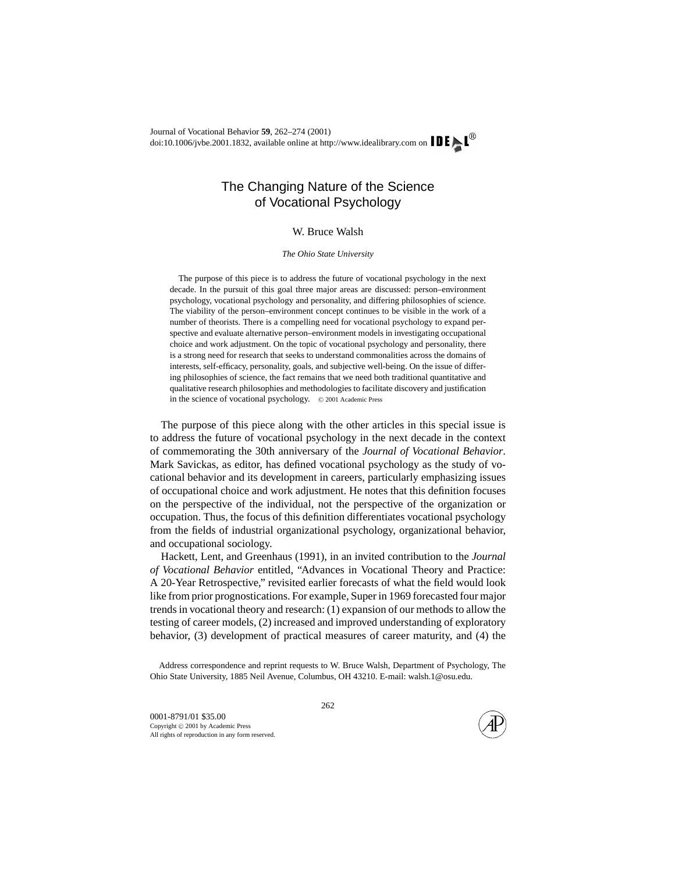## The Changing Nature of the Science of Vocational Psychology

## W. Bruce Walsh

*The Ohio State University*

The purpose of this piece is to address the future of vocational psychology in the next decade. In the pursuit of this goal three major areas are discussed: person–environment psychology, vocational psychology and personality, and differing philosophies of science. The viability of the person–environment concept continues to be visible in the work of a number of theorists. There is a compelling need for vocational psychology to expand perspective and evaluate alternative person–environment models in investigating occupational choice and work adjustment. On the topic of vocational psychology and personality, there is a strong need for research that seeks to understand commonalities across the domains of interests, self-efficacy, personality, goals, and subjective well-being. On the issue of differing philosophies of science, the fact remains that we need both traditional quantitative and qualitative research philosophies and methodologies to facilitate discovery and justification in the science of vocational psychology. © 2001 Academic Press

The purpose of this piece along with the other articles in this special issue is to address the future of vocational psychology in the next decade in the context of commemorating the 30th anniversary of the *Journal of Vocational Behavior*. Mark Savickas, as editor, has defined vocational psychology as the study of vocational behavior and its development in careers, particularly emphasizing issues of occupational choice and work adjustment. He notes that this definition focuses on the perspective of the individual, not the perspective of the organization or occupation. Thus, the focus of this definition differentiates vocational psychology from the fields of industrial organizational psychology, organizational behavior, and occupational sociology.

Hackett, Lent, and Greenhaus (1991), in an invited contribution to the *Journal of Vocational Behavior* entitled, "Advances in Vocational Theory and Practice: A 20-Year Retrospective," revisited earlier forecasts of what the field would look like from prior prognostications. For example, Super in 1969 forecasted four major trends in vocational theory and research: (1) expansion of our methods to allow the testing of career models, (2) increased and improved understanding of exploratory behavior, (3) development of practical measures of career maturity, and (4) the

Address correspondence and reprint requests to W. Bruce Walsh, Department of Psychology, The Ohio State University, 1885 Neil Avenue, Columbus, OH 43210. E-mail: walsh.1@osu.edu.

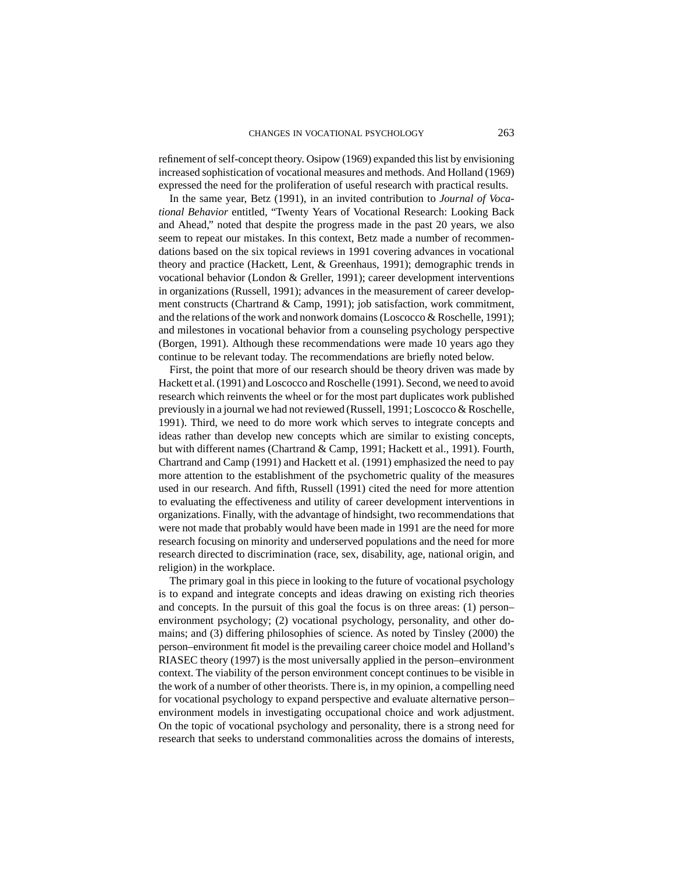refinement of self-concept theory. Osipow (1969) expanded this list by envisioning increased sophistication of vocational measures and methods. And Holland (1969) expressed the need for the proliferation of useful research with practical results.

In the same year, Betz (1991), in an invited contribution to *Journal of Vocational Behavior* entitled, "Twenty Years of Vocational Research: Looking Back and Ahead," noted that despite the progress made in the past 20 years, we also seem to repeat our mistakes. In this context, Betz made a number of recommendations based on the six topical reviews in 1991 covering advances in vocational theory and practice (Hackett, Lent, & Greenhaus, 1991); demographic trends in vocational behavior (London & Greller, 1991); career development interventions in organizations (Russell, 1991); advances in the measurement of career development constructs (Chartrand & Camp, 1991); job satisfaction, work commitment, and the relations of the work and nonwork domains (Loscocco & Roschelle, 1991); and milestones in vocational behavior from a counseling psychology perspective (Borgen, 1991). Although these recommendations were made 10 years ago they continue to be relevant today. The recommendations are briefly noted below.

First, the point that more of our research should be theory driven was made by Hackett et al. (1991) and Loscocco and Roschelle (1991). Second, we need to avoid research which reinvents the wheel or for the most part duplicates work published previously in a journal we had not reviewed (Russell, 1991; Loscocco & Roschelle, 1991). Third, we need to do more work which serves to integrate concepts and ideas rather than develop new concepts which are similar to existing concepts, but with different names (Chartrand & Camp, 1991; Hackett et al., 1991). Fourth, Chartrand and Camp (1991) and Hackett et al. (1991) emphasized the need to pay more attention to the establishment of the psychometric quality of the measures used in our research. And fifth, Russell (1991) cited the need for more attention to evaluating the effectiveness and utility of career development interventions in organizations. Finally, with the advantage of hindsight, two recommendations that were not made that probably would have been made in 1991 are the need for more research focusing on minority and underserved populations and the need for more research directed to discrimination (race, sex, disability, age, national origin, and religion) in the workplace.

The primary goal in this piece in looking to the future of vocational psychology is to expand and integrate concepts and ideas drawing on existing rich theories and concepts. In the pursuit of this goal the focus is on three areas: (1) person– environment psychology; (2) vocational psychology, personality, and other domains; and (3) differing philosophies of science. As noted by Tinsley (2000) the person–environment fit model is the prevailing career choice model and Holland's RIASEC theory (1997) is the most universally applied in the person–environment context. The viability of the person environment concept continues to be visible in the work of a number of other theorists. There is, in my opinion, a compelling need for vocational psychology to expand perspective and evaluate alternative person– environment models in investigating occupational choice and work adjustment. On the topic of vocational psychology and personality, there is a strong need for research that seeks to understand commonalities across the domains of interests,